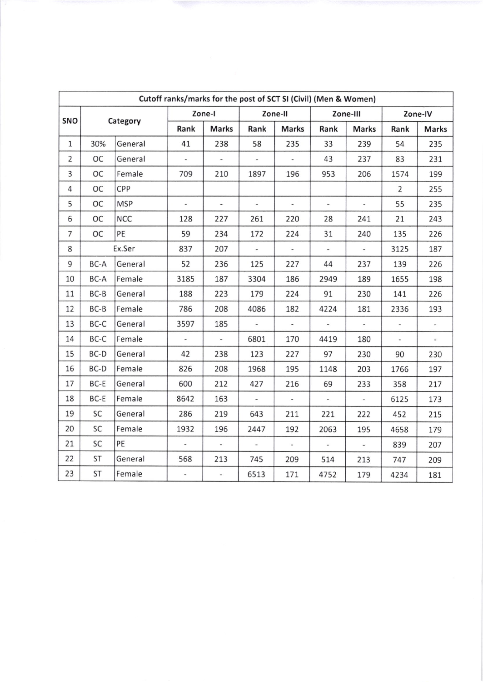| Cutoff ranks/marks for the post of SCT SI (Civil) (Men & Women) |                 |            |                          |                          |                          |                          |                          |                          |                          |                          |
|-----------------------------------------------------------------|-----------------|------------|--------------------------|--------------------------|--------------------------|--------------------------|--------------------------|--------------------------|--------------------------|--------------------------|
|                                                                 | SNO<br>Category |            | Zone-I                   |                          | Zone-II                  |                          | Zone-III                 |                          | Zone-IV                  |                          |
|                                                                 |                 |            | Rank                     | <b>Marks</b>             | Rank                     | Marks                    | Rank                     | <b>Marks</b>             | Rank                     | <b>Marks</b>             |
| $\mathbf{1}$                                                    | 30%             | General    | 41                       | 238                      | 58                       | 235                      | 33                       | 239                      | 54                       | 235                      |
| $\overline{2}$                                                  | OC              | General    | $\sim$                   | $\overline{\phantom{a}}$ | $\overline{\phantom{a}}$ | $\pm$                    | 43                       | 237                      | 83                       | 231                      |
| 3                                                               | OC              | Female     | 709                      | 210                      | 1897                     | 196                      | 953                      | 206                      | 1574                     | 199                      |
| $\overline{4}$                                                  | OC              | CPP        |                          |                          |                          |                          |                          |                          | $\overline{2}$           | 255                      |
| 5                                                               | ОC              | <b>MSP</b> | $\sim$                   | ù.                       | $\frac{1}{2}$            | $\omega$                 | w.                       | $\blacksquare$           | 55                       | 235                      |
| 6                                                               | ОC              | <b>NCC</b> | 128                      | 227                      | 261                      | 220                      | 28                       | 241                      | 21                       | 243                      |
| 7                                                               | ОC              | PE         | 59                       | 234                      | 172                      | 224                      | 31                       | 240                      | 135                      | 226                      |
| 8                                                               |                 | Ex.Ser     | 837                      | 207                      | $\omega_{\rm c}$         | $\overline{\phantom{a}}$ | $\overline{\phantom{a}}$ | $\overline{\phantom{a}}$ | 3125                     | 187                      |
| 9                                                               | BC-A            | General    | 52                       | 236                      | 125                      | 227                      | 44                       | 237                      | 139                      | 226                      |
| 10                                                              | BC-A            | Female     | 3185                     | 187                      | 3304                     | 186                      | 2949                     | 189                      | 1655                     | 198                      |
| 11                                                              | $BC-B$          | General    | 188                      | 223                      | 179                      | 224                      | 91                       | 230                      | 141                      | 226                      |
| 12                                                              | $BC-B$          | Female     | 786                      | 208                      | 4086                     | 182                      | 4224                     | 181                      | 2336                     | 193                      |
| 13                                                              | BC-C            | General    | 3597                     | 185                      | $\overline{\phantom{a}}$ | $\hat{\mathbf{z}}$       | ä,                       | $\overline{\phantom{a}}$ | $\overline{\phantom{m}}$ | $\overline{\phantom{0}}$ |
| 14                                                              | BC-C            | Female     | ¥.                       | $\omega$                 | 6801                     | 170                      | 4419                     | 180                      | $\omega$                 | ω,                       |
| 15                                                              | BC-D            | General    | 42                       | 238                      | 123                      | 227                      | 97                       | 230                      | 90                       | 230                      |
| 16                                                              | BC-D            | Female     | 826                      | 208                      | 1968                     | 195                      | 1148                     | 203                      | 1766                     | 197                      |
| 17                                                              | BC-E            | General    | 600                      | 212                      | 427                      | 216                      | 69                       | 233                      | 358                      | 217                      |
| 18                                                              | BC-E            | Female     | 8642                     | 163                      | $\overline{a}$           | $\overline{\phantom{a}}$ | $\sim$                   | $\overline{\phantom{a}}$ | 6125                     | 173                      |
| 19                                                              | SC              | General    | 286                      | 219                      | 643                      | 211                      | 221                      | 222                      | 452                      | 215                      |
| 20                                                              | SC              | Female     | 1932                     | 196                      | 2447                     | 192                      | 2063                     | 195                      | 4658                     | 179                      |
| 21                                                              | SC              | PE         | $\overline{\phantom{a}}$ | $\sim$ 1                 | $\omega$                 | i.                       | $\omega_{\rm f}$         | $\equiv$                 | 839                      | 207                      |
| 22                                                              | ST              | General    | 568                      | 213                      | 745                      | 209                      | 514                      | 213                      | 747                      | 209                      |
| 23                                                              | ST              | Female     | $\overline{\phantom{a}}$ | $\overline{\phantom{a}}$ | 6513                     | 171                      | 4752                     | 179                      | 4234                     | 181                      |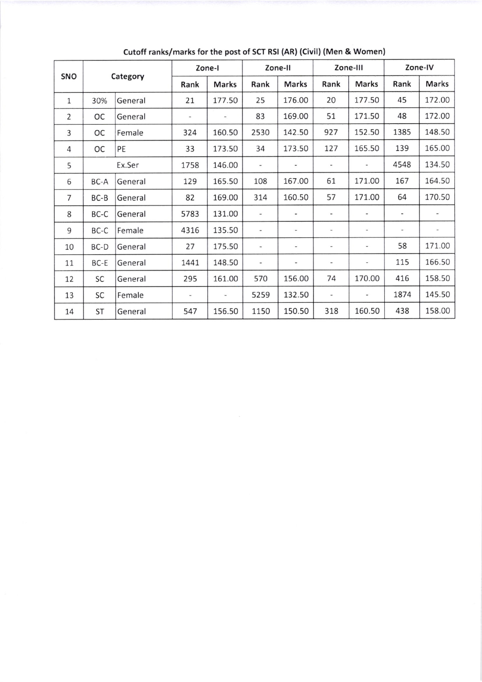| SNO            | Category |         | Zone-I                   |                              | Zone-II                  |                              | Zone-III                     |                          | Zone-IV                  |              |
|----------------|----------|---------|--------------------------|------------------------------|--------------------------|------------------------------|------------------------------|--------------------------|--------------------------|--------------|
|                |          |         | Rank                     | <b>Marks</b>                 | Rank                     | <b>Marks</b>                 | Rank                         | Marks                    | Rank                     | <b>Marks</b> |
| $\mathbf{1}$   | 30%      | General | 21                       | 177.50                       | 25                       | 176.00                       | 20                           | 177.50                   | 45                       | 172.00       |
| $\overline{2}$ | OC       | General |                          | $\qquad \qquad \blacksquare$ | 83                       | 169.00                       | 51                           | 171.50                   | 48                       | 172.00       |
| 3              | ОC       | Female  | 324                      | 160.50                       | 2530                     | 142.50                       | 927                          | 152.50                   | 1385                     | 148.50       |
| $\overline{4}$ | OC       | PE      | 33                       | 173.50                       | 34                       | 173.50                       | 127                          | 165.50                   | 139                      | 165.00       |
| 5              |          | Ex.Ser  | 1758                     | 146.00                       | $\overline{\phantom{a}}$ | $\qquad \qquad \blacksquare$ | $\overline{\phantom{a}}$     | $\overline{\phantom{a}}$ | 4548                     | 134.50       |
| 6              | BC-A     | General | 129                      | 165.50                       | 108                      | 167.00                       | 61                           | 171.00                   | 167                      | 164.50       |
| $\overline{7}$ | BC-B     | General | 82                       | 169.00                       | 314                      | 160.50                       | 57                           | 171.00                   | 64                       | 170.50       |
| 8              | BC-C     | General | 5783                     | 131.00                       | $\overline{\phantom{a}}$ | $\centerdot$                 | $\overline{\phantom{a}}$     | $\hat{\phantom{a}}$      | $\blacksquare$           |              |
| 9              | BC-C     | Female  | 4316                     | 135.50                       | $\overline{\phantom{m}}$ | $\overline{\phantom{a}}$     | $\overline{\phantom{a}}$     | $\overline{\phantom{a}}$ | $\overline{\phantom{0}}$ |              |
| 10             | BC-D     | General | 27                       | 175.50                       | $\overline{\phantom{m}}$ | $\overline{\phantom{m}}$     | $\overline{\phantom{a}}$     | $\overline{\phantom{a}}$ | 58                       | 171.00       |
| 11             | BC-E     | General | 1441                     | 148.50                       | $\overline{\phantom{m}}$ | $\overline{\phantom{0}}$     | $\qquad \qquad \blacksquare$ | $\overline{\phantom{0}}$ | 115                      | 166.50       |
| 12             | SC       | General | 295                      | 161.00                       | 570                      | 156.00                       | 74                           | 170.00                   | 416                      | 158.50       |
| 13             | SC       | Female  | $\overline{\phantom{0}}$ | $\overline{\phantom{0}}$     | 5259                     | 132.50                       | $\overline{\phantom{a}}$     | $\blacksquare$           | 1874                     | 145.50       |
| 14             | ST       | General | 547                      | 156.50                       | 1150                     | 150.50                       | 318                          | 160.50                   | 438                      | 158.00       |

Cutoff ranks/marks for the post of SCT RSI (AR) (Civil) (Men & Women)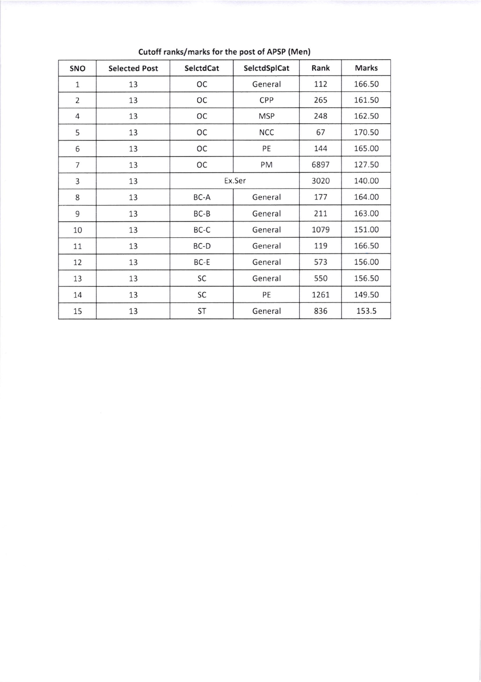| SNO            | <b>Selected Post</b> | SelctdCat | SelctdSplCat | Rank | Marks  |
|----------------|----------------------|-----------|--------------|------|--------|
| 1              | 13                   | ОC        | General      | 112  | 166.50 |
| $\overline{2}$ | 13                   | OC        | CPP          | 265  | 161.50 |
| 4              | 13                   | ОC        | <b>MSP</b>   | 248  | 162.50 |
| 5              | 13                   | OC        | <b>NCC</b>   | 67   | 170.50 |
| 6              | 13                   | ОC        | PE           | 144  | 165.00 |
| $\overline{7}$ | 13                   | ОC        | PM           | 6897 | 127.50 |
| 3              | 13                   | Ex.Ser    |              | 3020 | 140.00 |
| 8              | 13                   | BC-A      | General      | 177  | 164.00 |
| 9              | 13                   | $BC-B$    | General      | 211  | 163.00 |
| 10             | 13                   | BC-C      | General      | 1079 | 151.00 |
| 11             | 13                   | BC-D      | General      | 119  | 166.50 |
| 12             | 13                   | BC-E      | General      | 573  | 156.00 |
| 13             | 13                   | SC        | General      | 550  | 156.50 |
| 14             | 13                   | SC        | PE           | 1261 | 149.50 |
| 15             | 13                   | ST        | General      | 836  | 153.5  |

Cutoff ranks/marks for the post of APSP (Men)